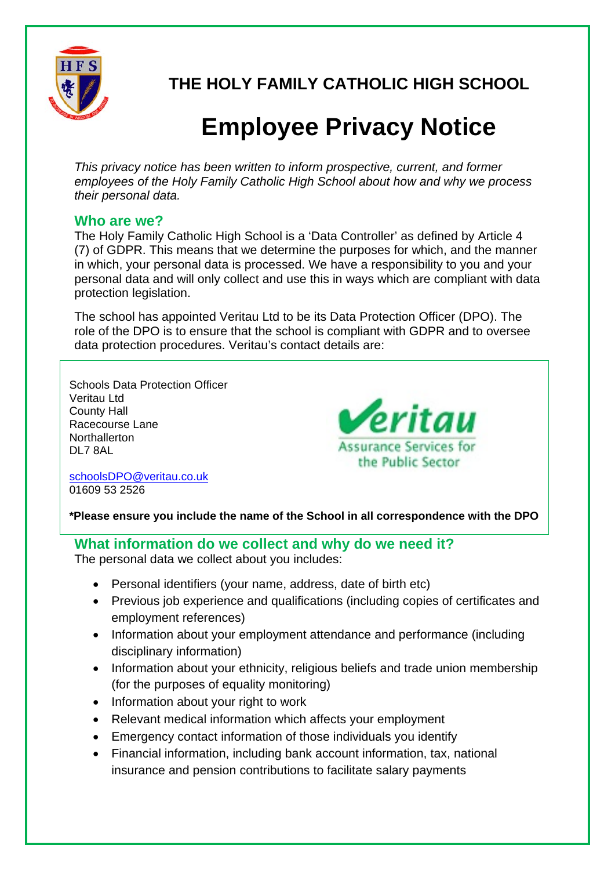

**THE HOLY FAMILY CATHOLIC HIGH SCHOOL** 

# **Employee Privacy Notice**

*This privacy notice has been written to inform prospective, current, and former employees of the Holy Family Catholic High School about how and why we process their personal data.* 

## **Who are we?**

The Holy Family Catholic High School is a 'Data Controller' as defined by Article 4 (7) of GDPR. This means that we determine the purposes for which, and the manner in which, your personal data is processed. We have a responsibility to you and your personal data and will only collect and use this in ways which are compliant with data protection legislation.

The school has appointed Veritau Ltd to be its Data Protection Officer (DPO). The role of the DPO is to ensure that the school is compliant with GDPR and to oversee data protection procedures. Veritau's contact details are:

Schools Data Protection Officer Veritau Ltd County Hall Racecourse Lane **Northallerton** DL7 8AL



schoolsDPO@veritau.co.uk 01609 53 2526

**\*Please ensure you include the name of the School in all correspondence with the DPO** 

**What information do we collect and why do we need it?**  The personal data we collect about you includes:

- Personal identifiers (your name, address, date of birth etc)
- Previous job experience and qualifications (including copies of certificates and employment references)
- Information about your employment attendance and performance (including disciplinary information)
- Information about your ethnicity, religious beliefs and trade union membership (for the purposes of equality monitoring)
- Information about your right to work
- Relevant medical information which affects your employment
- Emergency contact information of those individuals you identify
- Financial information, including bank account information, tax, national insurance and pension contributions to facilitate salary payments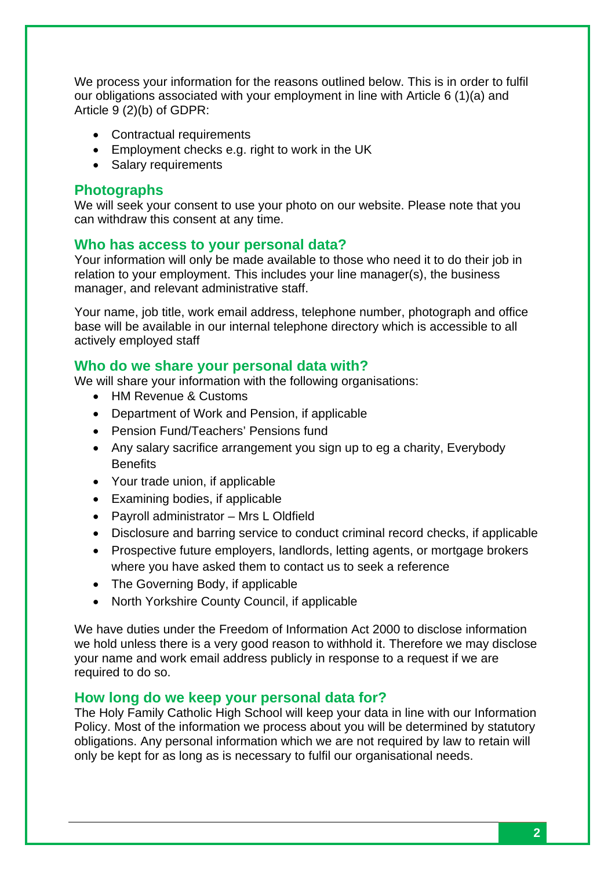We process your information for the reasons outlined below. This is in order to fulfil our obligations associated with your employment in line with Article 6 (1)(a) and Article 9 (2)(b) of GDPR:

- Contractual requirements
- Employment checks e.g. right to work in the UK
- Salary requirements

## **Photographs**

We will seek your consent to use your photo on our website. Please note that you can withdraw this consent at any time.

#### **Who has access to your personal data?**

Your information will only be made available to those who need it to do their job in relation to your employment. This includes your line manager(s), the business manager, and relevant administrative staff.

Your name, job title, work email address, telephone number, photograph and office base will be available in our internal telephone directory which is accessible to all actively employed staff

## **Who do we share your personal data with?**

We will share your information with the following organisations:

- HM Revenue & Customs
- Department of Work and Pension, if applicable
- Pension Fund/Teachers' Pensions fund
- Any salary sacrifice arrangement you sign up to eg a charity, Everybody **Benefits**
- Your trade union, if applicable
- Examining bodies, if applicable
- Payroll administrator Mrs L Oldfield
- Disclosure and barring service to conduct criminal record checks, if applicable
- Prospective future employers, landlords, letting agents, or mortgage brokers where you have asked them to contact us to seek a reference
- The Governing Body, if applicable
- North Yorkshire County Council, if applicable

We have duties under the Freedom of Information Act 2000 to disclose information we hold unless there is a very good reason to withhold it. Therefore we may disclose your name and work email address publicly in response to a request if we are required to do so.

#### **How long do we keep your personal data for?**

The Holy Family Catholic High School will keep your data in line with our Information Policy. Most of the information we process about you will be determined by statutory obligations. Any personal information which we are not required by law to retain will only be kept for as long as is necessary to fulfil our organisational needs.